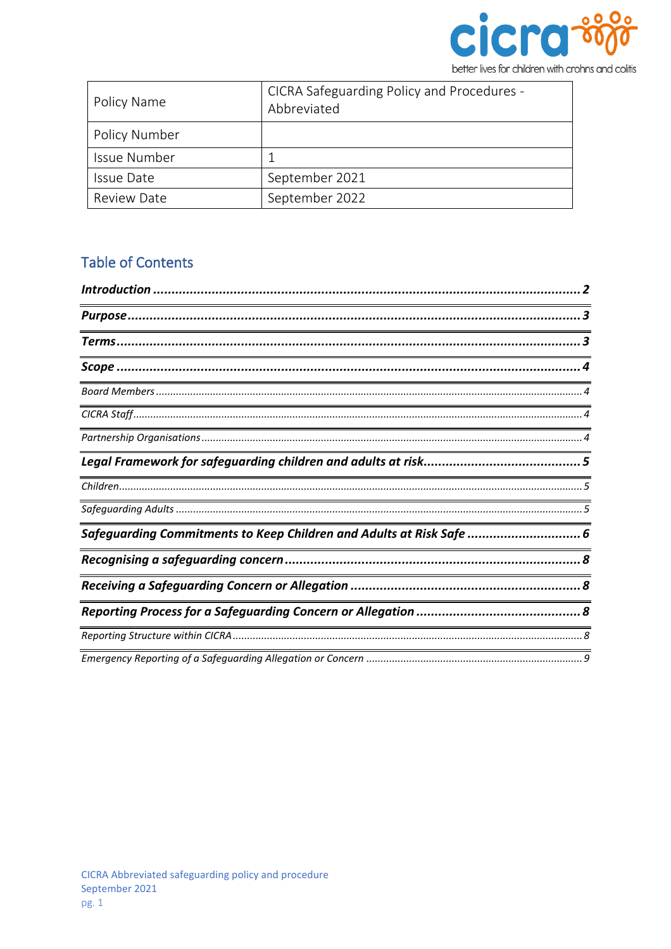

| Policy Name        | CICRA Safeguarding Policy and Procedures -<br>Abbreviated |
|--------------------|-----------------------------------------------------------|
| Policy Number      |                                                           |
| Issue Number       |                                                           |
| <b>Issue Date</b>  | September 2021                                            |
| <b>Review Date</b> | September 2022                                            |

# **Table of Contents**

| <u> 1989 - Johann Stoff, deutscher Stoffen und der Stoffen und der Stoffen und der Stoffen und der Stoffen und der</u> |  |
|------------------------------------------------------------------------------------------------------------------------|--|
|                                                                                                                        |  |
|                                                                                                                        |  |
|                                                                                                                        |  |
|                                                                                                                        |  |
| Safeguarding Commitments to Keep Children and Adults at Risk Safe  6                                                   |  |
|                                                                                                                        |  |
|                                                                                                                        |  |
|                                                                                                                        |  |
|                                                                                                                        |  |
|                                                                                                                        |  |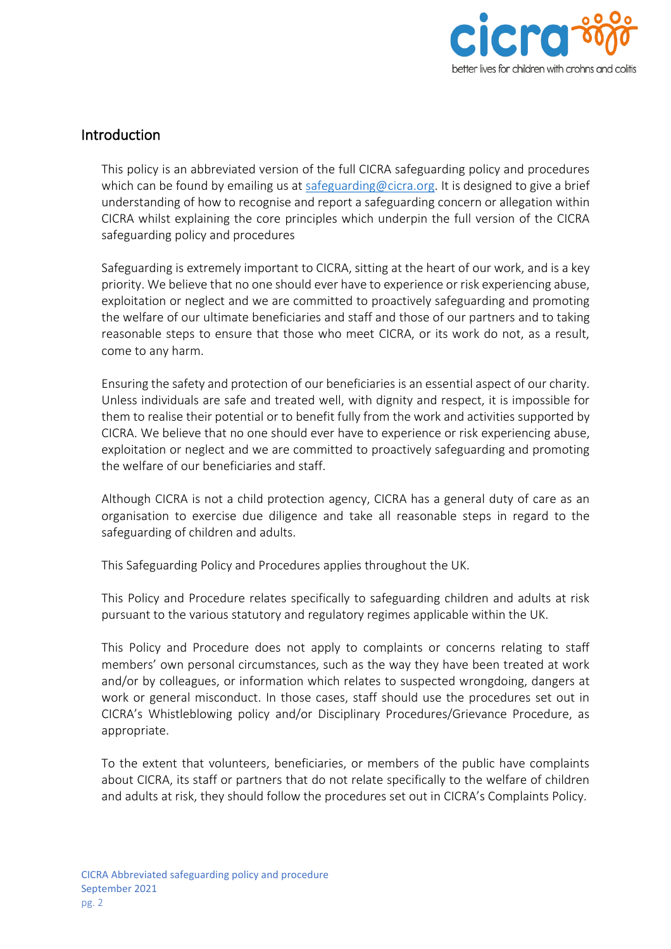

# <span id="page-1-0"></span>Introduction

This policy is an abbreviated version of the full CICRA safeguarding policy and procedures which can be found by emailing us at [safeguarding@cicra.org.](mailto:safeguarding@cicra.org) It is designed to give a brief understanding of how to recognise and report a safeguarding concern or allegation within CICRA whilst explaining the core principles which underpin the full version of the CICRA safeguarding policy and procedures

Safeguarding is extremely important to CICRA, sitting at the heart of our work, and is a key priority. We believe that no one should ever have to experience or risk experiencing abuse, exploitation or neglect and we are committed to proactively safeguarding and promoting the welfare of our ultimate beneficiaries and staff and those of our partners and to taking reasonable steps to ensure that those who meet CICRA, or its work do not, as a result, come to any harm.

Ensuring the safety and protection of our beneficiaries is an essential aspect of our charity. Unless individuals are safe and treated well, with dignity and respect, it is impossible for them to realise their potential or to benefit fully from the work and activities supported by CICRA. We believe that no one should ever have to experience or risk experiencing abuse, exploitation or neglect and we are committed to proactively safeguarding and promoting the welfare of our beneficiaries and staff.

Although CICRA is not a child protection agency, CICRA has a general duty of care as an organisation to exercise due diligence and take all reasonable steps in regard to the safeguarding of children and adults.

This Safeguarding Policy and Procedures applies throughout the UK.

This Policy and Procedure relates specifically to safeguarding children and adults at risk pursuant to the various statutory and regulatory regimes applicable within the UK.

This Policy and Procedure does not apply to complaints or concerns relating to staff members' own personal circumstances, such as the way they have been treated at work and/or by colleagues, or information which relates to suspected wrongdoing, dangers at work or general misconduct. In those cases, staff should use the procedures set out in CICRA's Whistleblowing policy and/or Disciplinary Procedures/Grievance Procedure, as appropriate.

To the extent that volunteers, beneficiaries, or members of the public have complaints about CICRA, its staff or partners that do not relate specifically to the welfare of children and adults at risk, they should follow the procedures set out in CICRA's Complaints Policy.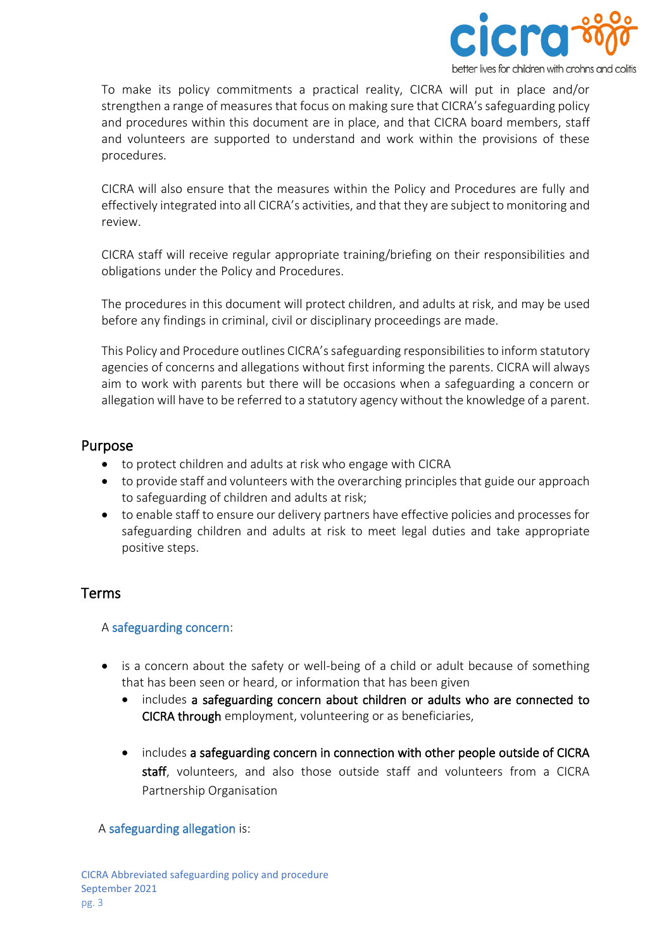

To make its policy commitments a practical reality, CICRA will put in place and/or strengthen a range of measures that focus on making sure that CICRA's safeguarding policy and procedures within this document are in place, and that CICRA board members, staff and volunteers are supported to understand and work within the provisions of these procedures.

CICRA will also ensure that the measures within the Policy and Procedures are fully and effectively integrated into all CICRA's activities, and that they are subject to monitoring and review.

CICRA staff will receive regular appropriate training/briefing on their responsibilities and obligations under the Policy and Procedures.

The procedures in this document will protect children, and adults at risk, and may be used before any findings in criminal, civil or disciplinary proceedings are made.

This Policy and Procedure outlines CICRA's safeguarding responsibilities to inform statutory agencies of concerns and allegations without first informing the parents. CICRA will always aim to work with parents but there will be occasions when a safeguarding a concern or allegation will have to be referred to a statutory agency without the knowledge of a parent.

# <span id="page-2-0"></span>Purpose

- to protect children and adults at risk who engage with CICRA
- to provide staff and volunteers with the overarching principles that guide our approach to safeguarding of children and adults at risk;
- to enable staff to ensure our delivery partners have effective policies and processes for safeguarding children and adults at risk to meet legal duties and take appropriate positive steps.

# <span id="page-2-1"></span>Terms

## A safeguarding concern:

- is a concern about the safety or well-being of a child or adult because of something that has been seen or heard, or information that has been given
	- includes a safeguarding concern about children or adults who are connected to CICRA through employment, volunteering or as beneficiaries,
	- includes a safeguarding concern in connection with other people outside of CICRA staff, volunteers, and also those outside staff and volunteers from a CICRA Partnership Organisation

## A safeguarding allegation is: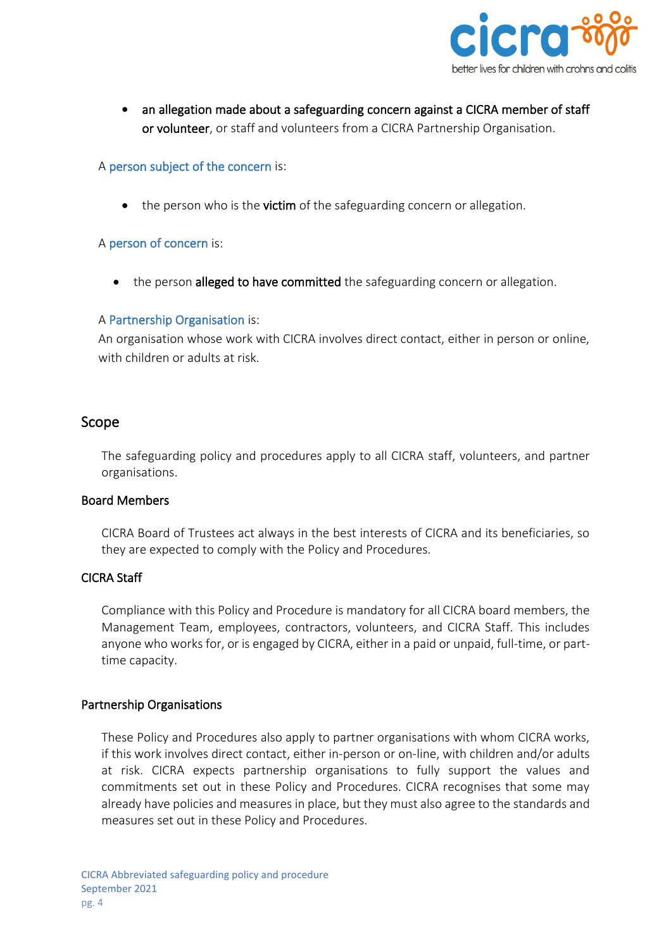

an allegation made about a safeguarding concern against a CICRA member of staff or volunteer, or staff and volunteers from a CICRA Partnership Organisation.

### A person subject of the concern is:

• the person who is the **victim** of the safeguarding concern or allegation.

### A person of concern is:

the person alleged to have committed the safeguarding concern or allegation.

### A Partnership Organisation is:

An organisation whose work with CICRA involves direct contact, either in person or online, with children or adults at risk.

# <span id="page-3-0"></span>Scope

The safeguarding policy and procedures apply to all CICRA staff, volunteers, and partner organisations.

#### <span id="page-3-1"></span>Board Members

CICRA Board of Trustees act always in the best interests of CICRA and its beneficiaries, so they are expected to comply with the Policy and Procedures.

#### <span id="page-3-2"></span>CICRA Staff

Compliance with this Policy and Procedure is mandatory for all CICRA board members, the Management Team, employees, contractors, volunteers, and CICRA Staff. This includes anyone who works for, or is engaged by CICRA, either in a paid or unpaid, full-time, or parttime capacity.

## <span id="page-3-3"></span>Partnership Organisations

These Policy and Procedures also apply to partner organisations with whom CICRA works, if this work involves direct contact, either in-person or on-line, with children and/or adults at risk. CICRA expects partnership organisations to fully support the values and commitments set out in these Policy and Procedures. CICRA recognises that some may already have policies and measures in place, but they must also agree to the standards and measures set out in these Policy and Procedures.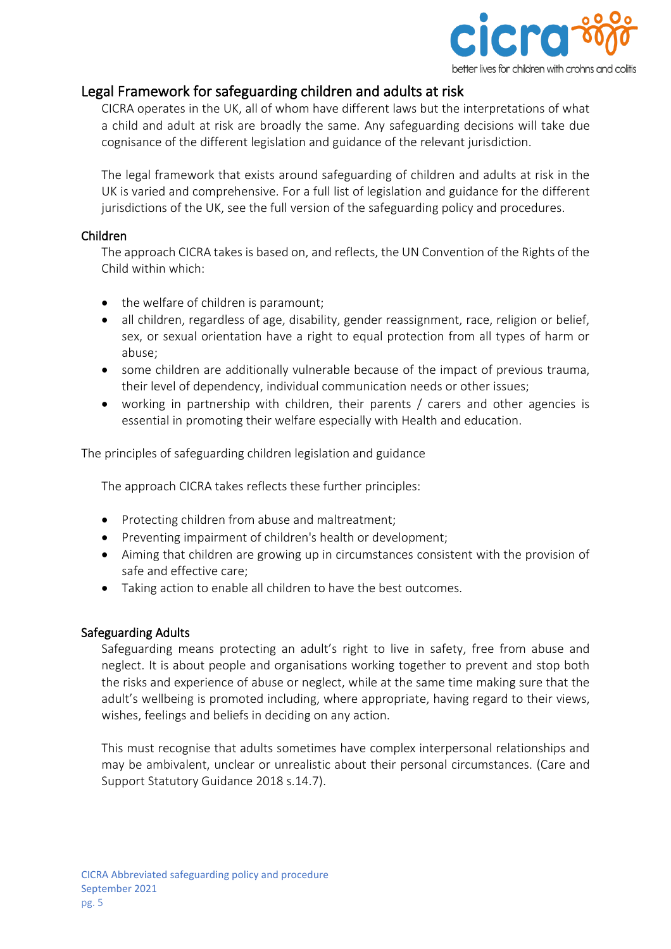

# <span id="page-4-0"></span>Legal Framework for safeguarding children and adults at risk

CICRA operates in the UK, all of whom have different laws but the interpretations of what a child and adult at risk are broadly the same. Any safeguarding decisions will take due cognisance of the different legislation and guidance of the relevant jurisdiction.

The legal framework that exists around safeguarding of children and adults at risk in the UK is varied and comprehensive. For a full list of legislation and guidance for the different jurisdictions of the UK, see the full version of the safeguarding policy and procedures.

### <span id="page-4-1"></span>Children

The approach CICRA takes is based on, and reflects, the UN Convention of the Rights of the Child within which:

- the welfare of children is paramount;
- all children, regardless of age, disability, gender reassignment, race, religion or belief, sex, or sexual orientation have a right to equal protection from all types of harm or abuse;
- some children are additionally vulnerable because of the impact of previous trauma, their level of dependency, individual communication needs or other issues;
- working in partnership with children, their parents / carers and other agencies is essential in promoting their welfare especially with Health and education.

The principles of safeguarding children legislation and guidance

The approach CICRA takes reflects these further principles:

- Protecting children from abuse and maltreatment;
- Preventing impairment of children's health or development;
- Aiming that children are growing up in circumstances consistent with the provision of safe and effective care;
- Taking action to enable all children to have the best outcomes.

#### <span id="page-4-2"></span>Safeguarding Adults

Safeguarding means protecting an adult's right to live in safety, free from abuse and neglect. It is about people and organisations working together to prevent and stop both the risks and experience of abuse or neglect, while at the same time making sure that the adult's wellbeing is promoted including, where appropriate, having regard to their views, wishes, feelings and beliefs in deciding on any action.

This must recognise that adults sometimes have complex interpersonal relationships and may be ambivalent, unclear or unrealistic about their personal circumstances. (Care and Support Statutory Guidance 2018 s.14.7).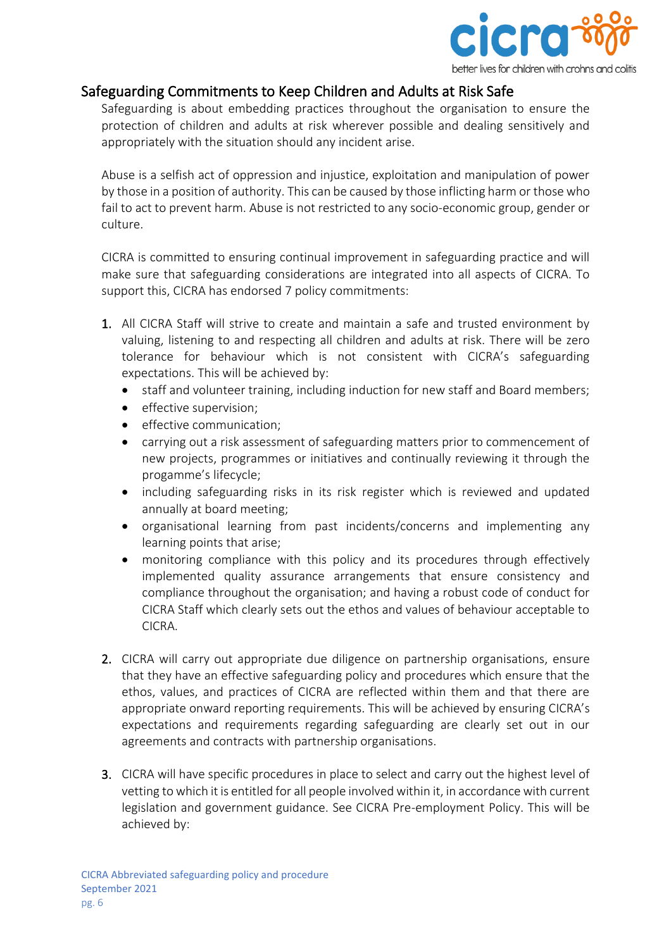

# <span id="page-5-0"></span>Safeguarding Commitments to Keep Children and Adults at Risk Safe

Safeguarding is about embedding practices throughout the organisation to ensure the protection of children and adults at risk wherever possible and dealing sensitively and appropriately with the situation should any incident arise.

Abuse is a selfish act of oppression and injustice, exploitation and manipulation of power by those in a position of authority. This can be caused by those inflicting harm or those who fail to act to prevent harm. Abuse is not restricted to any socio-economic group, gender or culture.

CICRA is committed to ensuring continual improvement in safeguarding practice and will make sure that safeguarding considerations are integrated into all aspects of CICRA. To support this, CICRA has endorsed 7 policy commitments:

- 1. All CICRA Staff will strive to create and maintain a safe and trusted environment by valuing, listening to and respecting all children and adults at risk. There will be zero tolerance for behaviour which is not consistent with CICRA's safeguarding expectations. This will be achieved by:
	- staff and volunteer training, including induction for new staff and Board members;
	- effective supervision;
	- effective communication;
	- carrying out a risk assessment of safeguarding matters prior to commencement of new projects, programmes or initiatives and continually reviewing it through the progamme's lifecycle;
	- including safeguarding risks in its risk register which is reviewed and updated annually at board meeting;
	- organisational learning from past incidents/concerns and implementing any learning points that arise;
	- monitoring compliance with this policy and its procedures through effectively implemented quality assurance arrangements that ensure consistency and compliance throughout the organisation; and having a robust code of conduct for CICRA Staff which clearly sets out the ethos and values of behaviour acceptable to CICRA.
- 2. CICRA will carry out appropriate due diligence on partnership organisations, ensure that they have an effective safeguarding policy and procedures which ensure that the ethos, values, and practices of CICRA are reflected within them and that there are appropriate onward reporting requirements. This will be achieved by ensuring CICRA's expectations and requirements regarding safeguarding are clearly set out in our agreements and contracts with partnership organisations.
- 3. CICRA will have specific procedures in place to select and carry out the highest level of vetting to which it is entitled for all people involved within it, in accordance with current legislation and government guidance. See CICRA Pre-employment Policy. This will be achieved by: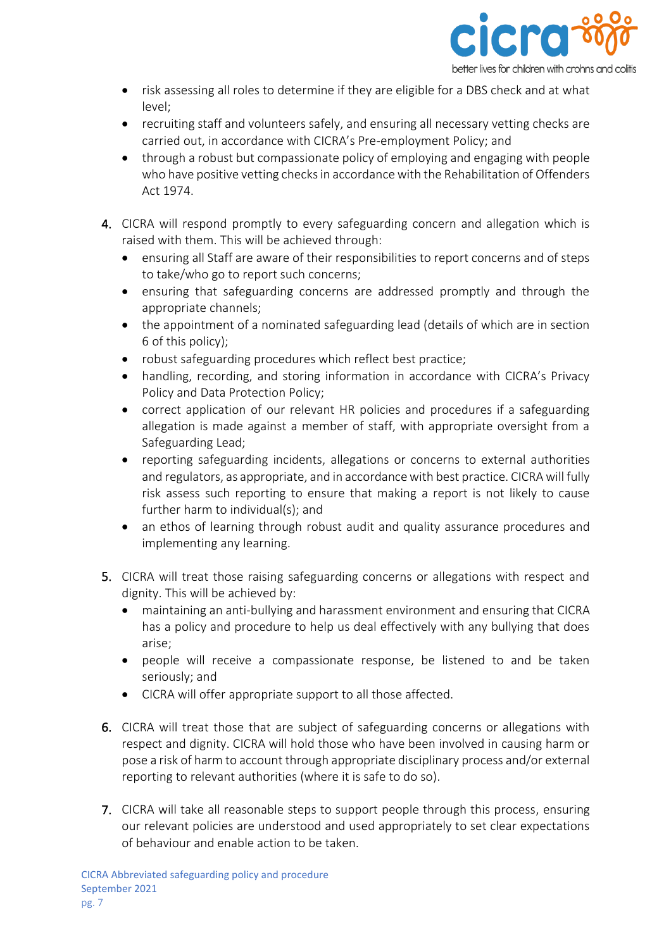

- risk assessing all roles to determine if they are eligible for a DBS check and at what level;
- recruiting staff and volunteers safely, and ensuring all necessary vetting checks are carried out, in accordance with CICRA's Pre-employment Policy; and
- through a robust but compassionate policy of employing and engaging with people who have positive vetting checks in accordance with the Rehabilitation of Offenders Act 1974.
- 4. CICRA will respond promptly to every safeguarding concern and allegation which is raised with them. This will be achieved through:
	- ensuring all Staff are aware of their responsibilities to report concerns and of steps to take/who go to report such concerns;
	- ensuring that safeguarding concerns are addressed promptly and through the appropriate channels;
	- the appointment of a nominated safeguarding lead (details of which are in section 6 of this policy);
	- robust safeguarding procedures which reflect best practice;
	- handling, recording, and storing information in accordance with CICRA's Privacy Policy and Data Protection Policy;
	- correct application of our relevant HR policies and procedures if a safeguarding allegation is made against a member of staff, with appropriate oversight from a Safeguarding Lead;
	- reporting safeguarding incidents, allegations or concerns to external authorities and regulators, as appropriate, and in accordance with best practice. CICRA will fully risk assess such reporting to ensure that making a report is not likely to cause further harm to individual(s); and
	- an ethos of learning through robust audit and quality assurance procedures and implementing any learning.
- 5. CICRA will treat those raising safeguarding concerns or allegations with respect and dignity. This will be achieved by:
	- maintaining an anti-bullying and harassment environment and ensuring that CICRA has a policy and procedure to help us deal effectively with any bullying that does arise;
	- people will receive a compassionate response, be listened to and be taken seriously; and
	- CICRA will offer appropriate support to all those affected.
- 6. CICRA will treat those that are subject of safeguarding concerns or allegations with respect and dignity. CICRA will hold those who have been involved in causing harm or pose a risk of harm to account through appropriate disciplinary process and/or external reporting to relevant authorities (where it is safe to do so).
- 7. CICRA will take all reasonable steps to support people through this process, ensuring our relevant policies are understood and used appropriately to set clear expectations of behaviour and enable action to be taken.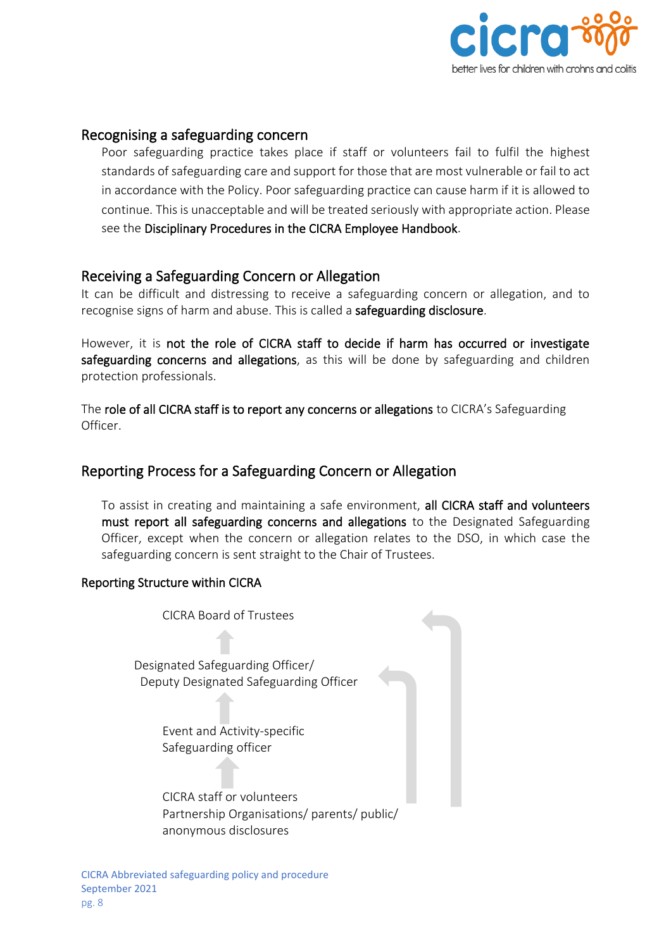

# <span id="page-7-0"></span>Recognising a safeguarding concern

Poor safeguarding practice takes place if staff or volunteers fail to fulfil the highest standards of safeguarding care and support for those that are most vulnerable or fail to act in accordance with the Policy. Poor safeguarding practice can cause harm if it is allowed to continue. This is unacceptable and will be treated seriously with appropriate action. Please see the Disciplinary Procedures in the CICRA Employee Handbook.

# <span id="page-7-1"></span>Receiving a Safeguarding Concern or Allegation

It can be difficult and distressing to receive a safeguarding concern or allegation, and to recognise signs of harm and abuse. This is called a safeguarding disclosure.

However, it is not the role of CICRA staff to decide if harm has occurred or investigate safeguarding concerns and allegations, as this will be done by safeguarding and children protection professionals.

The role of all CICRA staff is to report any concerns or allegations to CICRA's Safeguarding Officer.

# <span id="page-7-2"></span>Reporting Process for a Safeguarding Concern or Allegation

To assist in creating and maintaining a safe environment, all CICRA staff and volunteers must report all safeguarding concerns and allegations to the Designated Safeguarding Officer, except when the concern or allegation relates to the DSO, in which case the safeguarding concern is sent straight to the Chair of Trustees.

#### <span id="page-7-3"></span>Reporting Structure within CICRA

CICRA Board of Trustees

 Designated Safeguarding Officer/ Deputy Designated Safeguarding Officer

> Event and Activity-specific Safeguarding officer

CICRA staff or volunteers Partnership Organisations/ parents/ public/ anonymous disclosures